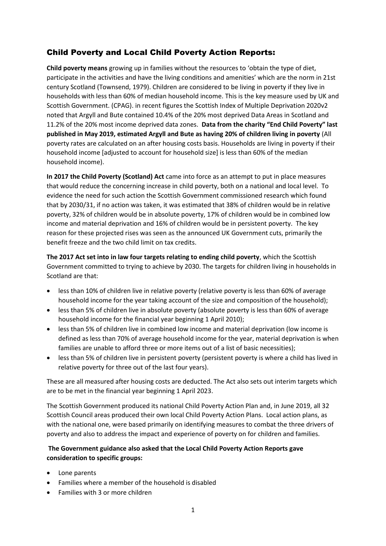# Child Poverty and Local Child Poverty Action Reports:

**Child poverty means** growing up in families without the resources to 'obtain the type of diet, participate in the activities and have the living conditions and amenities' which are the norm in 21st century Scotland (Townsend, 1979). Children are considered to be living in poverty if they live in households with less than 60% of median household income. This is the key measure used by UK and Scottish Government. (CPAG). in recent figures the Scottish Index of Multiple Deprivation 2020v2 noted that Argyll and Bute contained 10.4% of the 20% most deprived Data Areas in Scotland and 11.2% of the 20% most income deprived data zones. **Data from the charity "End Child Poverty" last published in May 2019, estimated Argyll and Bute as having 20% of children living in poverty** (All poverty rates are calculated on an after housing costs basis. Households are living in poverty if their household income [adjusted to account for household size] is less than 60% of the median household income).

**In 2017 the Child Poverty (Scotland) Act** came into force as an attempt to put in place measures that would reduce the concerning increase in child poverty, both on a national and local level. To evidence the need for such action the Scottish Government commissioned research which found that by 2030/31, if no action was taken, it was estimated that 38% of children would be in relative poverty, 32% of children would be in absolute poverty, 17% of children would be in combined low income and material deprivation and 16% of children would be in persistent poverty. The key reason for these projected rises was seen as the announced UK Government cuts, primarily the benefit freeze and the two child limit on tax credits.

**The 2017 Act set into in law four targets relating to ending child poverty**, which the Scottish Government committed to trying to achieve by 2030. The targets for children living in households in Scotland are that:

- less than 10% of children live in relative poverty (relative poverty is less than 60% of average household income for the year taking account of the size and composition of the household);
- less than 5% of children live in absolute poverty (absolute poverty is less than 60% of average household income for the financial year beginning 1 April 2010);
- less than 5% of children live in combined low income and material deprivation (low income is defined as less than 70% of average household income for the year, material deprivation is when families are unable to afford three or more items out of a list of basic necessities);
- less than 5% of children live in persistent poverty (persistent poverty is where a child has lived in relative poverty for three out of the last four years).

These are all measured after housing costs are deducted. The Act also sets out interim targets which are to be met in the financial year beginning 1 April 2023.

The Scottish Government produced its national Child Poverty Action Plan and, in June 2019, all 32 Scottish Council areas produced their own local Child Poverty Action Plans. Local action plans, as with the national one, were based primarily on identifying measures to combat the three drivers of poverty and also to address the impact and experience of poverty on for children and families.

## **The Government guidance also asked that the Local Child Poverty Action Reports gave consideration to specific groups:**

- Lone parents
- Families where a member of the household is disabled
- Families with 3 or more children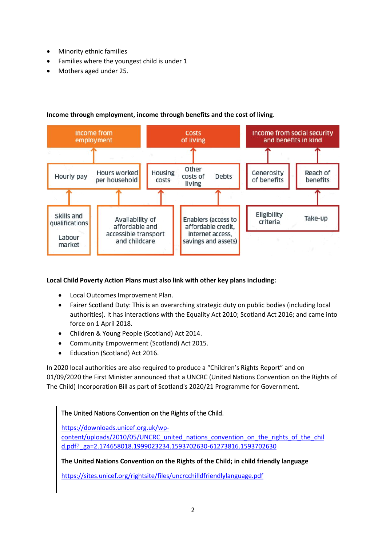- Minority ethnic families
- Families where the youngest child is under 1
- Mothers aged under 25.



# **Income through employment, income through benefits and the cost of living.**

### **Local Child Poverty Action Plans must also link with other key plans including:**

- Local Outcomes Improvement Plan.
- Fairer Scotland Duty: This is an overarching strategic duty on public bodies (including local authorities). It has interactions with the Equality Act 2010; Scotland Act 2016; and came into force on 1 April 2018.
- Children & Young People (Scotland) Act 2014.
- Community Empowerment (Scotland) Act 2015.
- Education (Scotland) Act 2016.

In 2020 local authorities are also required to produce a "Children's Rights Report" and on 01/09/2020 the First Minister announced that a UNCRC (United Nations Convention on the Rights of The Child) Incorporation Bill as part of Scotland's 2020/21 Programme for Government.

# The United Nations Convention on the Rights of the Child.

[https://downloads.unicef.org.uk/wp-](https://downloads.unicef.org.uk/wp-content/uploads/2010/05/UNCRC_united_nations_convention_on_the_rights_of_the_child.pdf?_ga=2.174658018.1999023234.1593702630-61273816.1593702630)

content/uploads/2010/05/UNCRC united nations convention on the rights of the chil [d.pdf?\\_ga=2.174658018.1999023234.1593702630-61273816.1593702630](https://downloads.unicef.org.uk/wp-content/uploads/2010/05/UNCRC_united_nations_convention_on_the_rights_of_the_child.pdf?_ga=2.174658018.1999023234.1593702630-61273816.1593702630)

**The United Nations Convention on the Rights of the Child; in child friendly language**

<https://sites.unicef.org/rightsite/files/uncrcchilldfriendlylanguage.pdf>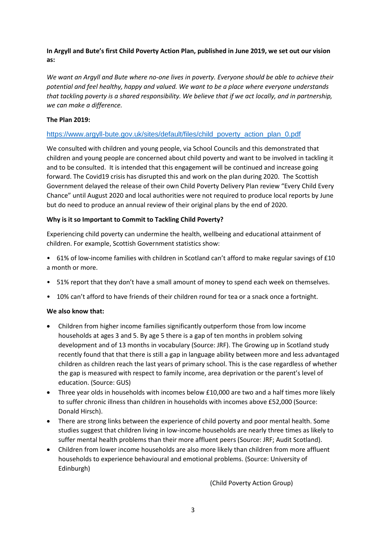## **In Argyll and Bute's first Child Poverty Action Plan, published in June 2019, we set out our vision as:**

*We want an Argyll and Bute where no-one lives in poverty. Everyone should be able to achieve their potential and feel healthy, happy and valued. We want to be a place where everyone understands that tackling poverty is a shared responsibility. We believe that if we act locally, and in partnership, we can make a difference.*

### **The Plan 2019:**

#### [https://www.argyll-bute.gov.uk/sites/default/files/child\\_poverty\\_action\\_plan\\_0.pdf](https://www.argyll-bute.gov.uk/sites/default/files/child_poverty_action_plan_0.pdf)

We consulted with children and young people, via School Councils and this demonstrated that children and young people are concerned about child poverty and want to be involved in tackling it and to be consulted. It is intended that this engagement will be continued and increase going forward. The Covid19 crisis has disrupted this and work on the plan during 2020. The Scottish Government delayed the release of their own Child Poverty Delivery Plan review "Every Child Every Chance" until August 2020 and local authorities were not required to produce local reports by June but do need to produce an annual review of their original plans by the end of 2020.

#### **Why is it so Important to Commit to Tackling Child Poverty?**

Experiencing child poverty can undermine the health, wellbeing and educational attainment of children. For example, Scottish Government statistics show:

- 61% of low-income families with children in Scotland can't afford to make regular savings of £10 a month or more.
- 51% report that they don't have a small amount of money to spend each week on themselves.
- 10% can't afford to have friends of their children round for tea or a snack once a fortnight.

#### **We also know that:**

- Children from higher income families significantly outperform those from low income households at ages 3 and 5. By age 5 there is a gap of ten months in problem solving development and of 13 months in vocabulary (Source: JRF). The Growing up in Scotland study recently found that that there is still a gap in language ability between more and less advantaged children as children reach the last years of primary school. This is the case regardless of whether the gap is measured with respect to family income, area deprivation or the parent's level of education. (Source: GUS)
- Three year olds in households with incomes below £10,000 are two and a half times more likely to suffer chronic illness than children in households with incomes above £52,000 (Source: Donald Hirsch).
- There are strong links between the experience of child poverty and poor mental health. Some studies suggest that children living in low-income households are nearly three times as likely to suffer mental health problems than their more affluent peers (Source: JRF; Audit Scotland).
- Children from lower income households are also more likely than children from more affluent households to experience behavioural and emotional problems. (Source: University of Edinburgh)

(Child Poverty Action Group)